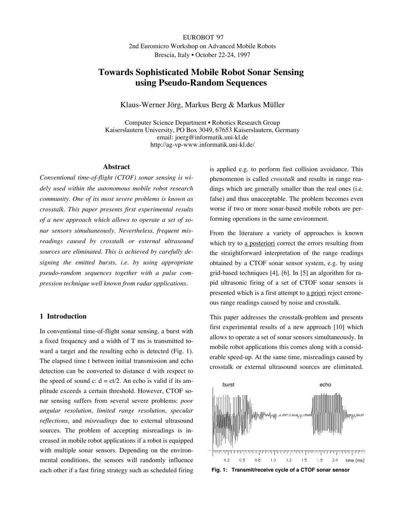EUROBOT '97 2nd Euromicro Workshop on Advanced Mobile Robots Brescia, Italy • October 22-24, 1997

# **Towards Sophisticated Mobile Robot Sonar Sensing using Pseudo-Random Sequences**

Klaus-Werner Jörg, Markus Berg & Markus Müller

Computer Science Department • Robotics Research Group Kaiserslautern University, PO Box 3049, 67653 Kaiserslautern, Germany email: joerg@informatik.uni-kl.de http://ag-vp-www.informatik.uni-kl.de/

### **Abstract**

*Conventional time-of-flight (CTOF) sonar sensing is widely used within the autonomous mobile robot research community. One of its most severe problems is known as crosstalk. This paper presents first experimental results of a new approach which allows to operate a set of sonar sensors simultaneously. Nevertheless, frequent misreadings caused by crosstalk or external ultrasound sources are eliminated. This is achieved by carefully designing the emitted bursts, i.e. by using appropriate pseudo-random sequences together with a pulse compression technique well known from radar applications.*

# **1 Introduction**

In conventional time-of-flight sonar sensing, a burst with a fixed frequency and a width of T ms is transmitted toward a target and the resulting echo is detected (Fig. 1). The elapsed time t between initial transmission and echo detection can be converted to distance d with respect to the speed of sound c:  $d = ct/2$ . An echo is valid if its amplitude exceeds a certain threshold. However, CTOF sonar sensing suffers from several severe problems: *poor angular resolution*, *limited range resolution*, *specular reflections*, and *misreadings* due to external ultrasound sources. The problem of accepting misreadings is increased in mobile robot applications if a robot is equipped with multiple sonar sensors. Depending on the environmental conditions, the sensors will randomly influence each other if a fast firing strategy such as scheduled firing is applied e.g. to perform fast collision avoidance. This phenomenon is called *crosstalk* and results in range readings which are generally smaller than the real ones (i.e. false) and thus unacceptable. The problem becomes even worse if two or more sonar-based mobile robots are performing operations in the same environment.

From the literature a variety of approaches is known which try to a posteriori correct the errors resulting from the straightforward interpretation of the range readings obtained by a CTOF sonar sensor system, e.g. by using grid-based techniques [4], [6]. In [5] an algorithm for rapid ultrasonic firing of a set of CTOF sonar sensors is presented which is a first attempt to a priori reject erroneous range readings caused by noise and crosstalk.

This paper addresses the crosstalk-problem and presents first experimental results of a new approach [10] which allows to operate a set of sonar sensors simultaneously. In mobile robot applications this comes along with a considerable speed-up. At the same time, misreadings caused by crosstalk or external ultrasound sources are eliminated.



**Fig. 1: Transmit/receive cycle of a CTOF sonar sensor**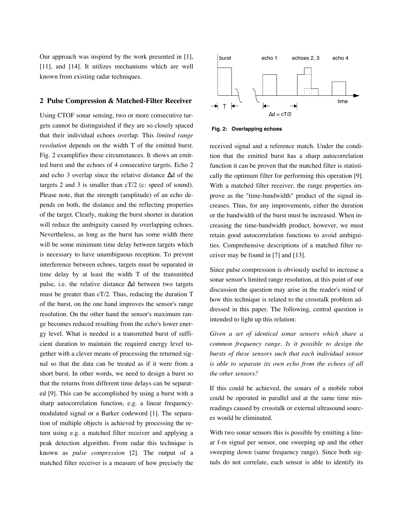Our approach was inspired by the work presented in [1], [11], and [14]. It utilizes mechanisms which are well known from existing radar techniques.

### **2 Pulse Compression & Matched-Filter Receiver**

Using CTOF sonar sensing, two or more consecutive targets cannot be distinguished if they are so closely spaced that their individual echoes overlap. This *limited range resolution* depends on the width T of the emitted burst. Fig. 2 examplifies these circumstances. It shows an emitted burst and the echoes of 4 consecutive targets. Echo 2 and echo 3 overlap since the relative distance ∆d of the targets 2 and 3 is smaller than cT/2 (c: speed of sound). Please note, that the strength (amplitude) of an echo depends on both, the distance and the reflecting properties of the target. Clearly, making the burst shorter in duration will reduce the ambiguity caused by overlapping echoes. Nevertheless, as long as the burst has some width there will be some minimum time delay between targets which is necessary to have unambiguous reception. To prevent interference between echoes, targets must be separated in time delay by at least the width T of the transmitted pulse, i.e. the relative distance ∆d between two targets must be greater than cT/2. Thus, reducing the duration T of the burst, on the one hand improves the sensor's range resolution. On the other hand the sensor's maximum range becomes reduced resulting from the echo's lower energy level. What is needed is a transmitted burst of sufficient duration to maintain the required energy level together with a clever means of processing the returned signal so that the data can be treated as if it were from a short burst. In other words, we need to design a burst so that the returns from different time delays can be separated [9]. This can be accomplished by using a burst with a sharp autocorrelation function, e.g. a linear frequencymodulated signal or a Barker codeword [1]. The separation of multiple objects is achieved by processing the return using e.g. a matched filter receiver and applying a peak detection algorithm. From radar this technique is known as *pulse compression* [2]. The output of a matched filter receiver is a measure of how precisely the



**Fig. 2: Overlapping echoes**

received signal and a reference match. Under the condition that the emitted burst has a sharp autocorrelation function it can be proven that the matched filter is statistically the optimum filter for performing this operation [9]. With a matched filter receiver, the range properties improve as the "time-bandwidth" product of the signal increases. Thus, for any improvements, either the duration or the bandwidth of the burst must be increased. When increasing the time-bandwidth product, however, we must retain good autocorrelation functions to avoid ambiguities. Comprehensive descriptions of a matched filter receiver may be found in [7] and [13].

Since pulse compression is obviously useful to increase a sonar sensor's limited range resolution, at this point of our discussion the question may arise in the reader's mind of how this technique is related to the crosstalk problem addressed in this paper. The following, central question is intended to light up this relation:

*Given a set of identical sonar sensors which share a common frequency range. Is it possible to design the bursts of these sensors such that each individual sensor is able to separate its own echo from the echoes of all the other sensors?*

If this could be achieved, the sonars of a mobile robot could be operated in parallel and at the same time misreadings caused by crosstalk or external ultrasound sources would be eliminated.

With two sonar sensors this is possible by emitting a linear f-m signal per sensor, one sweeping up and the other sweeping down (same frequency range). Since both signals do not correlate, each sensor is able to identify its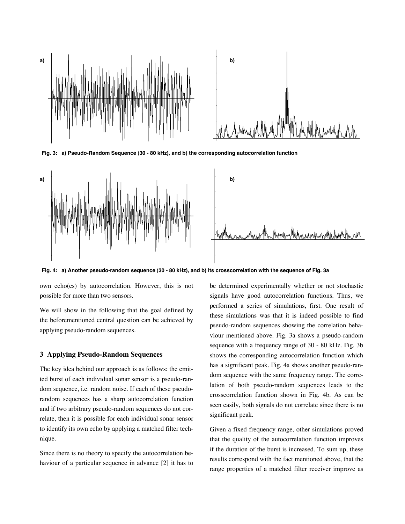



**Fig. 3: a) Pseudo-Random Sequence (30 - 80 kHz), and b) the corresponding autocorrelation function**



**Fig. 4: a) Another pseudo-random sequence (30 - 80 kHz), and b) its crosscorrelation with the sequence of Fig. 3a**

own echo(es) by autocorrelation. However, this is not possible for more than two sensors.

We will show in the following that the goal defined by the beforementioned central question can be achieved by applying pseudo-random sequences.

## **3 Applying Pseudo-Random Sequences**

The key idea behind our approach is as follows: the emitted burst of each individual sonar sensor is a pseudo-random sequence, i.e. random noise. If each of these pseudorandom sequences has a sharp autocorrelation function and if two arbitrary pseudo-random sequences do not correlate, then it is possible for each individual sonar sensor to identify its own echo by applying a matched filter technique.

Since there is no theory to specify the autocorrelation behaviour of a particular sequence in advance [2] it has to be determined experimentally whether or not stochastic signals have good autocorrelation functions. Thus, we performed a series of simulations, first. One result of these simulations was that it is indeed possible to find pseudo-random sequences showing the correlation behaviour mentioned above. Fig. 3a shows a pseudo-random sequence with a frequency range of 30 - 80 kHz. Fig. 3b shows the corresponding autocorrelation function which has a significant peak. Fig. 4a shows another pseudo-random sequence with the same frequency range. The correlation of both pseudo-random sequences leads to the crosscorrelation function shown in Fig. 4b. As can be seen easily, both signals do not correlate since there is no significant peak.

Given a fixed frequency range, other simulations proved that the quality of the autocorrelation function improves if the duration of the burst is increased. To sum up, these results correspond with the fact mentioned above, that the range properties of a matched filter receiver improve as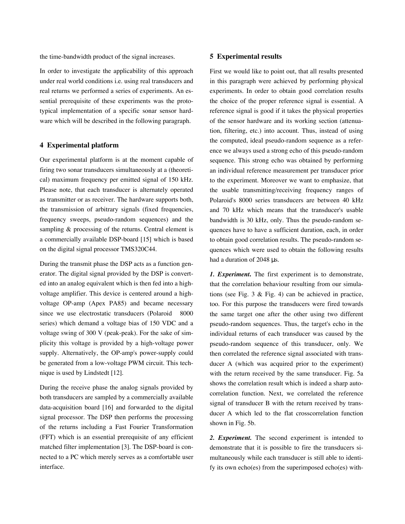the time-bandwidth product of the signal increases.

In order to investigate the applicability of this approach under real world conditions i.e. using real transducers and real returns we performed a series of experiments. An essential prerequisite of these experiments was the prototypical implementation of a specific sonar sensor hardware which will be described in the following paragraph.

# **4 Experimental platform**

Our experimental platform is at the moment capable of firing two sonar transducers simultaneously at a (theoretical) maximum frequency per emitted signal of 150 kHz. Please note, that each transducer is alternately operated as transmitter or as receiver. The hardware supports both, the transmission of arbitrary signals (fixed frequencies, frequency sweeps, pseudo-random sequences) and the sampling & processing of the returns. Central element is a commercially available DSP-board [15] which is based on the digital signal processor TMS320C44.

During the transmit phase the DSP acts as a function generator. The digital signal provided by the DSP is converted into an analog equivalent which is then fed into a highvoltage amplifier. This device is centered around a highvoltage OP-amp (Apex PA85) and became necessary since we use electrostatic transducers (Polaroid® 8000 series) which demand a voltage bias of 150 VDC and a voltage swing of 300 V (peak-peak). For the sake of simplicity this voltage is provided by a high-voltage power supply. Alternatively, the OP-amp's power-supply could be generated from a low-voltage PWM circuit. This technique is used by Lindstedt [12].

During the receive phase the analog signals provided by both transducers are sampled by a commercially available data-acquisition board [16] and forwarded to the digital signal processor. The DSP then performs the processing of the returns including a Fast Fourier Transformation (FFT) which is an essential prerequisite of any efficient matched filter implementation [3]. The DSP-board is connected to a PC which merely serves as a comfortable user interface.

### **5 Experimental results**

First we would like to point out, that all results presented in this paragraph were achieved by performing physical experiments. In order to obtain good correlation results the choice of the proper reference signal is essential. A reference signal is good if it takes the physical properties of the sensor hardware and its working section (attenuation, filtering, etc.) into account. Thus, instead of using the computed, ideal pseudo-random sequence as a reference we always used a strong echo of this pseudo-random sequence. This strong echo was obtained by performing an individual reference measurement per transducer prior to the experiment. Moreover we want to emphasize, that the usable transmitting/receiving frequency ranges of Polaroid's 8000 series transducers are between 40 kHz and 70 kHz which means that the transducer's usable bandwidth is 30 kHz, only. Thus the pseudo-random sequences have to have a sufficient duration, each, in order to obtain good correlation results. The pseudo-random sequences which were used to obtain the following results had a duration of 2048 µs.

*1. Experiment***.** The first experiment is to demonstrate, that the correlation behaviour resulting from our simulations (see Fig. 3 & Fig. 4) can be achieved in practice, too. For this purpose the transducers were fired towards the same target one after the other using two different pseudo-random sequences. Thus, the target's echo in the individual returns of each transducer was caused by the pseudo-random sequence of this transducer, only. We then correlated the reference signal associated with transducer A (which was acquired prior to the experiment) with the return received by the same transducer. Fig. 5a shows the correlation result which is indeed a sharp autocorrelation function. Next, we correlated the reference signal of transducer B with the return received by transducer A which led to the flat crosscorrelation function shown in Fig. 5b.

*2. Experiment.* The second experiment is intended to demonstrate that it is possible to fire the transducers simultaneously while each transducer is still able to identify its own echo(es) from the superimposed echo(es) with-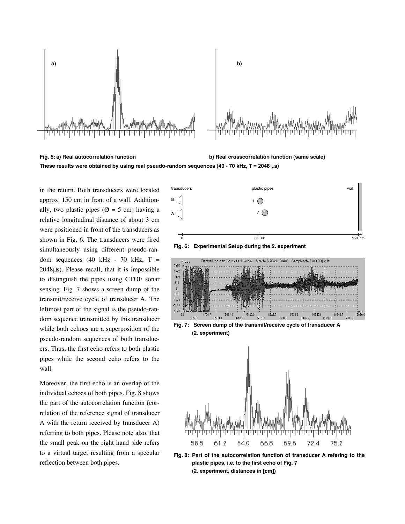

**Fig. 5: a) Real autocorrelation function b) Real crosscorrelation function (same scale) These results were obtained by using real pseudo-random sequences (40 - 70 kHz, T = 2048** µ**s)**

in the return. Both transducers were located approx. 150 cm in front of a wall. Additionally, two plastic pipes ( $\emptyset = 5$  cm) having a relative longitudinal distance of about 3 cm were positioned in front of the transducers as shown in Fig. 6. The transducers were fired simultaneously using different pseudo-random sequences (40 kHz - 70 kHz,  $T =$ 2048µs). Please recall, that it is impossible to distinguish the pipes using CTOF sonar sensing. Fig. 7 shows a screen dump of the transmit/receive cycle of transducer A. The leftmost part of the signal is the pseudo-random sequence transmitted by this transducer while both echoes are a superposition of the pseudo-random sequences of both transducers. Thus, the first echo refers to both plastic pipes while the second echo refers to the wall.

Moreover, the first echo is an overlap of the individual echoes of both pipes. Fig. 8 shows the part of the autocorrelation function (correlation of the reference signal of transducer A with the return received by transducer A) referring to both pipes. Please note also, that the small peak on the right hand side refers to a virtual target resulting from a specular reflection between both pipes.



**Fig. 8: Part of the autocorrelation function of transducer A refering to the plastic pipes, i.e. to the first echo of Fig. 7 (2. experiment, distances in [cm])**